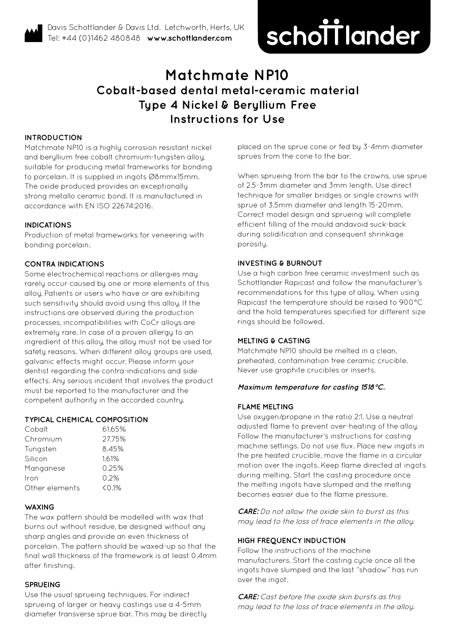

Davis Schottlander & Davis Ltd. Letchworth, Herts, UK Tel: +44 (0)1462 480848 **www.schottlander.com**

# schottlander **improving dentistry together**

# **Matchmate NP10 Cobalt-based dental metal-ceramic material Type 4 Nickel & Beryllium Free Instructions for Use**

#### **INTRODUCTION**

Matchmate NP10 is a highly corrosion resistant nickel and beryllium free cobalt chromium-tungsten alloy, suitable for producing metal frameworks for bonding to porcelain. It is supplied in ingots Ø8mmx15mm. The oxide produced provides an exceptionally strong metallo ceramic bond. It is manufactured in accordance with EN ISO 22674:2016.

#### **INDICATIONS**

Production of metal frameworks for veneering with bonding porcelain.

#### **CONTRA INDICATIONS**

Some electrochemical reactions or allergies may rarely occur caused by one or more elements of this alloy. Patients or users who have or are exhibiting such sensitivity should avoid using this alloy. If the instructions are observed during the production processes, incompatibilities with CoCr alloys are extremely rare. In case of a proven allergy to an ingredient of this alloy, the alloy must not be used for safety reasons. When different alloy groups are used, galvanic effects might occur. Please inform your dentist regarding the contra-indications and side effects. Any serious incident that involves the product must be reported to the manufacturer and the competent authority in the accorded country.

#### **TYPICAL CHEMICAL COMPOSITION**

| Cobalt         | 6165%  |
|----------------|--------|
| Chromium       | 27.75% |
| Tungsten       | 8.45%  |
| Silicon        | 1.61%  |
| Manganese      | 0.25%  |
| Iron           | 0.2%   |
| Other elements | < 0.1% |

#### **WAXING**

The wax pattern should be modelled with wax that burns out without residue, be designed without any sharp angles and provide an even thickness of porcelain. The pattern should be waxed-up so that the final wall thickness of the framework is at least 0.4mm after finishing.

#### **SPRUEING**

Use the usual sprueing techniques. For indirect sprueing of larger or heavy castings use a 4-5mm diameter transverse sprue bar. This may be directly placed on the sprue cone or fed by 3-4mm diameter sprues from the cone to the bar.

When sprueing from the bar to the crowns, use sprue of 2.5-3mm diameter and 3mm length. Use direct technique for smaller bridges or single crowns with sprue of 3.5mm diameter and length 15-20mm. Correct model design and sprueing will complete efficient filling of the mould andavoid suck-back during solidification and consequent shrinkage porosity.

#### **INVESTING & BURNOUT**

Use a high carbon free ceramic investment such as Schottlander Rapicast and follow the manufacturer's recommendations for this type of alloy. When using Rapicast the temperature should be raised to 900°C and the hold temperatures specified for different size rings should be followed.

#### **MELTING & CASTING**

Matchmate NP10 should be melted in a clean, preheated, contamination free ceramic crucible. Never use graphite crucibles or inserts.

#### **Maximum temperature for casting 1518°C.**

#### **FLAME MELTING**

Use oxygen/propane in the ratio 2:1. Use a neutral adjusted flame to prevent over-heating of the alloy. Follow the manufacturer's instructions for casting machine settings. Do not use flux. Place new ingots in the pre heated crucible, move the flame in a circular motion over the ingots. Keep flame directed at ingots during melting. Start the casting procedure once the melting ingots have slumped and the melting becomes easier due to the flame pressure.

**CARE:** Do not allow the oxide skin to burst as this may lead to the loss of trace elements in the alloy.

# **HIGH FREQUENCY INDUCTION**

Follow the instructions of the machine manufacturers. Start the casting cycle once all the ingots have slumped and the last "shadow" has run over the ingot.

**CARE:** Cast before the oxide skin bursts as this may lead to the loss of trace elements in the alloy.